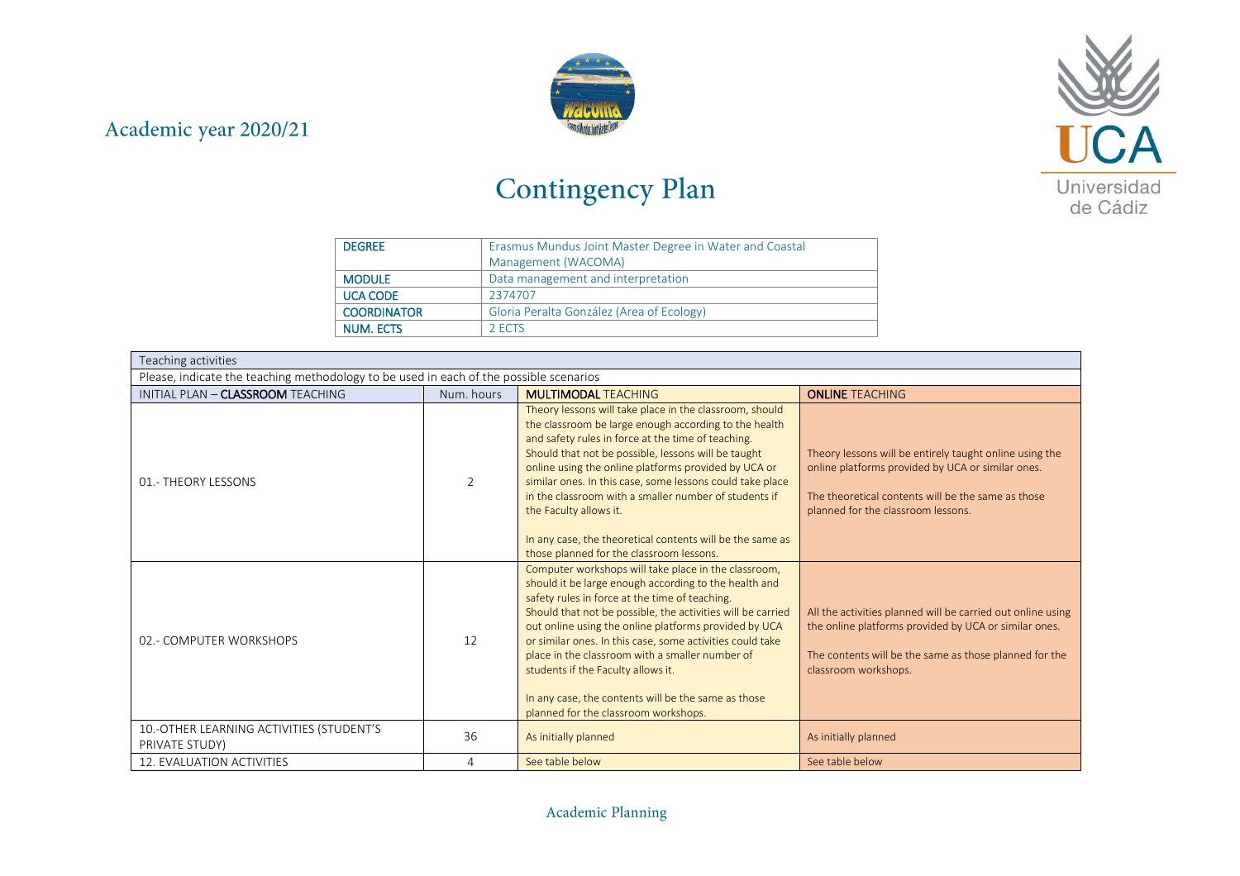



## Contingency Plan

| <b>DEGREE</b>      | Erasmus Mundus Joint Master Degree in Water and Coastal |  |  |
|--------------------|---------------------------------------------------------|--|--|
|                    | Management (WACOMA)                                     |  |  |
| <b>MODULE</b>      | Data management and interpretation                      |  |  |
| <b>UCA CODE</b>    | 2374707                                                 |  |  |
| <b>COORDINATOR</b> | Gloria Peralta González (Area of Ecology)               |  |  |
| NUM. ECTS          | 2 ECTS                                                  |  |  |

| Teaching activities                                                                    | <b>MULTIMODAL TEACHING</b><br><b>ONLINE TEACHING</b><br>Num, hours<br>Theory lessons will take place in the classroom, should<br>the classroom be large enough according to the health<br>and safety rules in force at the time of teaching.<br>Should that not be possible, lessons will be taught<br>Theory lessons will be entirely taught online using the<br>online using the online platforms provided by UCA or<br>online platforms provided by UCA or similar ones.<br>similar ones. In this case, some lessons could take place<br>$\overline{2}$<br>in the classroom with a smaller number of students if<br>The theoretical contents will be the same as those<br>planned for the classroom lessons.<br>the Faculty allows it.<br>In any case, the theoretical contents will be the same as<br>those planned for the classroom lessons.<br>Computer workshops will take place in the classroom,<br>should it be large enough according to the health and<br>safety rules in force at the time of teaching.<br>Should that not be possible, the activities will be carried<br>All the activities planned will be carried out online using<br>out online using the online platforms provided by UCA<br>the online platforms provided by UCA or similar ones. |                                                                                                                                                                                                                                                   |                                                                                |  |  |  |  |
|----------------------------------------------------------------------------------------|-----------------------------------------------------------------------------------------------------------------------------------------------------------------------------------------------------------------------------------------------------------------------------------------------------------------------------------------------------------------------------------------------------------------------------------------------------------------------------------------------------------------------------------------------------------------------------------------------------------------------------------------------------------------------------------------------------------------------------------------------------------------------------------------------------------------------------------------------------------------------------------------------------------------------------------------------------------------------------------------------------------------------------------------------------------------------------------------------------------------------------------------------------------------------------------------------------------------------------------------------------------------------|---------------------------------------------------------------------------------------------------------------------------------------------------------------------------------------------------------------------------------------------------|--------------------------------------------------------------------------------|--|--|--|--|
| Please, indicate the teaching methodology to be used in each of the possible scenarios |                                                                                                                                                                                                                                                                                                                                                                                                                                                                                                                                                                                                                                                                                                                                                                                                                                                                                                                                                                                                                                                                                                                                                                                                                                                                       |                                                                                                                                                                                                                                                   |                                                                                |  |  |  |  |
| INITIAL PLAN - CLASSROOM TEACHING                                                      |                                                                                                                                                                                                                                                                                                                                                                                                                                                                                                                                                                                                                                                                                                                                                                                                                                                                                                                                                                                                                                                                                                                                                                                                                                                                       |                                                                                                                                                                                                                                                   |                                                                                |  |  |  |  |
| 01.- THEORY LESSONS                                                                    |                                                                                                                                                                                                                                                                                                                                                                                                                                                                                                                                                                                                                                                                                                                                                                                                                                                                                                                                                                                                                                                                                                                                                                                                                                                                       |                                                                                                                                                                                                                                                   |                                                                                |  |  |  |  |
| 02.- COMPUTER WORKSHOPS                                                                | 12                                                                                                                                                                                                                                                                                                                                                                                                                                                                                                                                                                                                                                                                                                                                                                                                                                                                                                                                                                                                                                                                                                                                                                                                                                                                    | or similar ones. In this case, some activities could take<br>place in the classroom with a smaller number of<br>students if the Faculty allows it.<br>In any case, the contents will be the same as those<br>planned for the classroom workshops. | The contents will be the same as those planned for the<br>classroom workshops. |  |  |  |  |
| 10.-OTHER LEARNING ACTIVITIES (STUDENT'S<br>PRIVATE STUDY)                             | 36                                                                                                                                                                                                                                                                                                                                                                                                                                                                                                                                                                                                                                                                                                                                                                                                                                                                                                                                                                                                                                                                                                                                                                                                                                                                    | As initially planned                                                                                                                                                                                                                              | As initially planned                                                           |  |  |  |  |
| <b>12. EVALUATION ACTIVITIES</b>                                                       | 4                                                                                                                                                                                                                                                                                                                                                                                                                                                                                                                                                                                                                                                                                                                                                                                                                                                                                                                                                                                                                                                                                                                                                                                                                                                                     | See table below                                                                                                                                                                                                                                   | See table below                                                                |  |  |  |  |

## Academic Planning